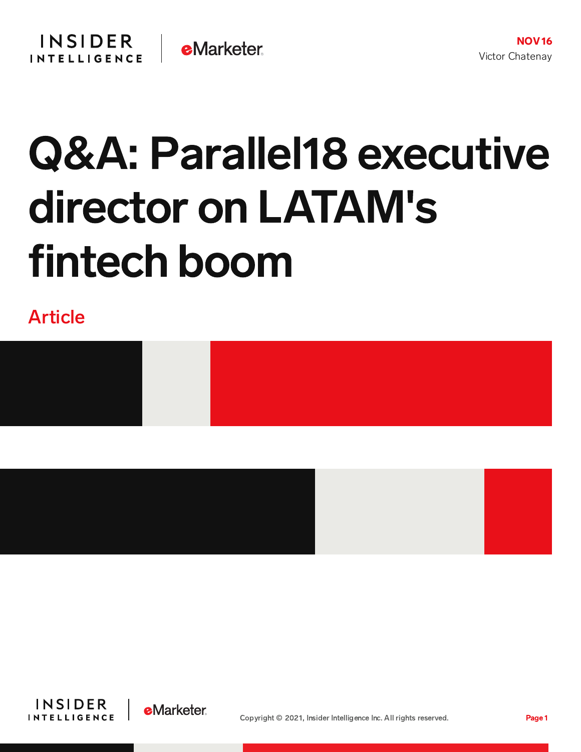

# Q&A: Parallel18 executive director on LATAM's fintech boom

Article









Copyright © 2021, Insider Intelligence Inc. All rights reserved. Page 1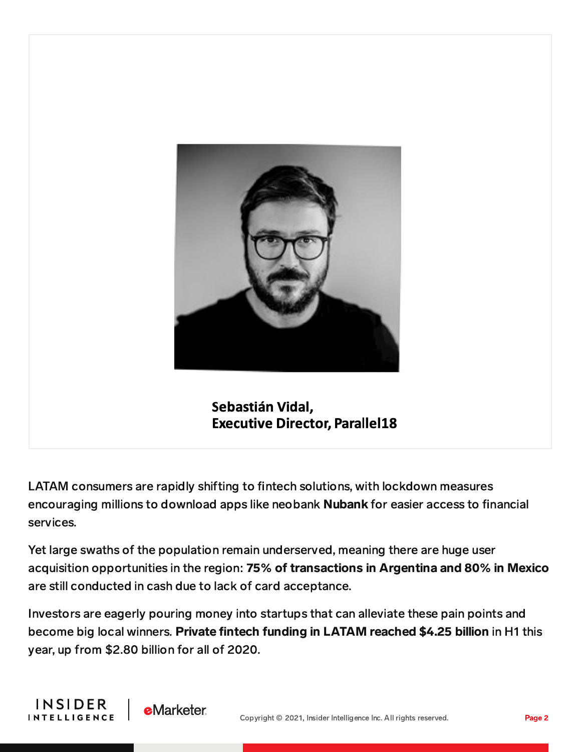

Sebastián Vidal, **Executive Director, Parallel18** 

LATAM consumers are rapidly shifting to fintech solutions, with lockdown measures encouraging millions to download apps like neobank Nubank for easier access to financial services.

Yet large swaths of the population remain underserved, meaning there are huge user acquisition opportunities in the region: 75% of transactions in Argentina and 80% in Mexico are still conducted in cash due to lack of card acceptance.

Investors are eagerly pouring money into startups that can alleviate these pain points and become big local winners. Private fintech funding in LATAM reached \$4.25 billion in H1 this year, up from \$2.80 billion for all of 2020.

**INSIDER** 

**INTELLIGENCE** 

**eMarketer**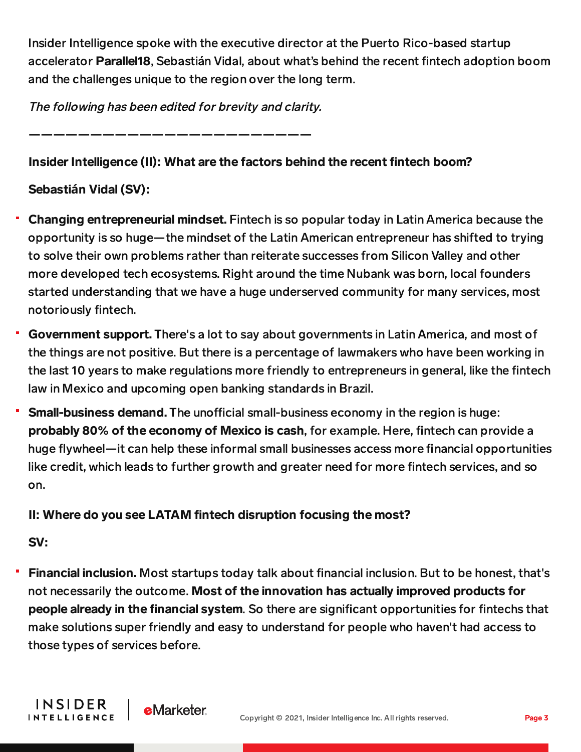Insider Intelligence spoke with the executive director at the Puerto Rico-based startup accelerator Parallel18, Sebastián Vidal, about what's behind the recent fintech adoption boom and the challenges unique to the region over the long term.

The following has been edited for brevity and clarity.

———————————————————————

#### Insider Intelligence (II): What are the factors behind the recent fintech boom?

## Sebasti**á**n Vidal (SV):

- Changing entrepreneurial mindset. Fintech is so popular today in Latin America because the opportunity is so huge—the mindset of the Latin American entrepreneur has shifted to trying to solve their own problems rather than reiterate successes from Silicon Valley and other more developed tech ecosystems. Right around the time Nubank was born, local founders started understanding that we have a huge underserved community for many services, most notoriously fintech.
- Government support. There's a lot to say about governments in Latin America, and most of the things are not positive. But there is a percentage of lawmakers who have been working in the last 10 years to make regulations more friendly to entrepreneurs in general, like the fintech law in Mexico and upcoming open banking standards in Brazil.
- **Small-business demand.** The unofficial small-business economy in the region is huge: probably 80% of the economy of Mexico is cash, for example. Here, fintech can provide a huge flywheel—it can help these informal small businesses access more financial opportunities like credit, which leads to further growth and greater need for more fintech services, and so on.

#### II: Where do you see LATAM fintech disruption focusing the most?

# SV:

**Financial inclusion.** Most startups today talk about financial inclusion. But to be honest, that's not necessarily the outcome. Most of the innovation has actually improved products for people already in the financial system. So there are significant opportunities for fintechs that make solutions super friendly and easy to understand for people who haven't had access to those types of services before.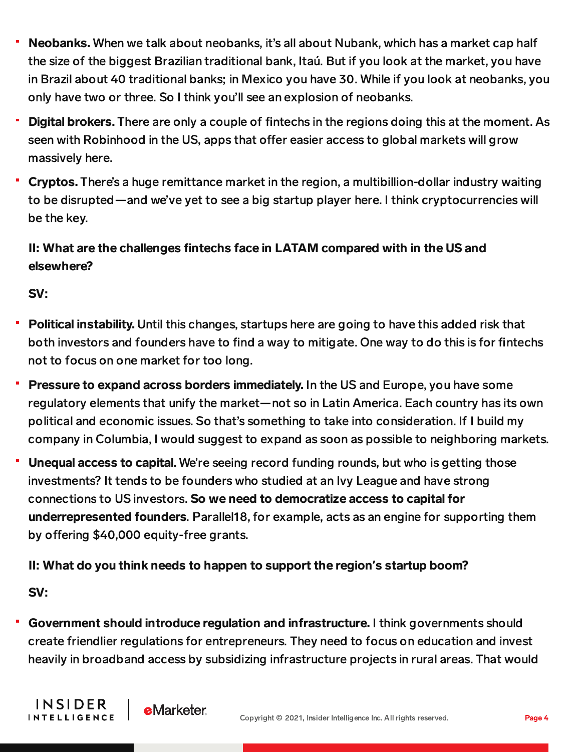- Neobanks. When we talk about neobanks, it's all about Nubank, which has a market cap half the size of the biggest Brazilian traditional bank, Itaú. But if you look at the market, you have in Brazil about 40 traditional banks; in Mexico you have 30. While if you look at neobanks, you only have two or three. So I think you'll see an explosion of neobanks.
- Digital brokers. There are only a couple of fintechs in the regions doing this at the moment. As seen with Robinhood in the US, apps that offer easier access to global markets will grow massively here.
- Cryptos. There's a huge remittance market in the region, a multibillion-dollar industry waiting to be disrupted—and we've yet to see a big startup player here. I think cryptocurrencies will be the key.

## II: What are the challenges fintechs face in LATAM compared with in the US and elsewhere?

SV:

- Political instability. Until this changes, startups here are going to have this added risk that both investors and founders have to find a way to mitigate. One way to do this is for fintechs not to focus on one market for too long.
- Pressure to expand across borders immediately. In the US and Europe, you have some regulatory elements that unify the market—not so in Latin America. Each country has its own political and economic issues. So that's something to take into consideration. If I build my company in Columbia, I would suggest to expand as soon as possible to neighboring markets.
- Unequal access to capital. We're seeing record funding rounds, but who is getting those investments? It tends to be founders who studied at an Ivy League and have strong connections to US investors. So we need to democratize access to capital for underrepresented founders. Parallel18, for example, acts as an engine for supporting them by offering \$40,000 equity-free grants.

#### II: What do you think needs to happen to support the region**'**s startup boom?

**e**Marketer

SV:

**INSIDER** 

**INTELLIGENCE** 

Government should introduce regulation and infrastructure. I think governments should create friendlier regulations for entrepreneurs. They need to focus on education and invest heavily in broadband access by subsidizing infrastructure projects in rural areas. That would